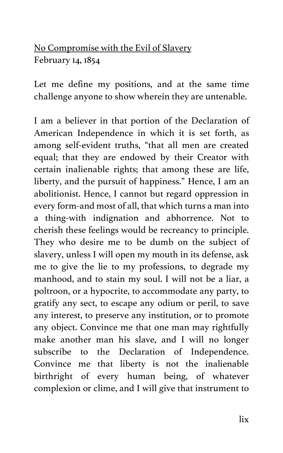## No Compromise with the Evil of Slavery February 14, 1854

Let me define my positions, and at the same time challenge anyone to show wherein they are untenable.

I am a believer in that portion of the Declaration of American Independence in which it is set forth, as among self-evident truths, "that all men are created equal; that they are endowed by their Creator with certain inalienable rights; that among these are life, liberty, and the pursuit of happiness." Hence, I am an abolitionist. Hence, I cannot but regard oppression in every form-and most of all, that which turns a man into a thing-with indignation and abhorrence. Not to cherish these feelings would be recreancy to principle. They who desire me to be dumb on the subject of slavery, unless I will open my mouth in its defense, ask me to give the lie to my professions, to degrade my manhood, and to stain my soul. I will not be a liar, a poltroon, or a hypocrite, to accommodate any party, to gratify any sect, to escape any odium or peril, to save any interest, to preserve any institution, or to promote any object. Convince me that one man may rightfully make another man his slave, and I will no longer subscribe to the Declaration of Independence. Convince me that liberty is not the inalienable birthright of every human being, of whatever complexion or clime, and I will give that instrument to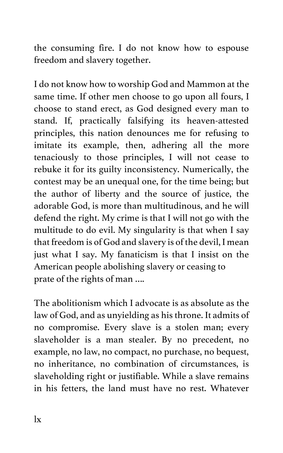the consuming fire. I do not know how to espouse freedom and slavery together.

I do not know how to worship God and Mammon at the same time. If other men choose to go upon all fours, I choose to stand erect, as God designed every man to stand. If, practically falsifying its heaven-attested principles, this nation denounces me for refusing to imitate its example, then, adhering all the more tenaciously to those principles, I will not cease to rebuke it for its guilty inconsistency. Numerically, the contest may be an unequal one, for the time being; but the author of liberty and the source of justice, the adorable God, is more than multitudinous, and he will defend the right. My crime is that I will not go with the multitude to do evil. My singularity is that when I say that freedom is of God and slavery is of the devil, I mean just what I say. My fanaticism is that I insist on the American people abolishing slavery or ceasing to prate of the rights of man ….

The abolitionism which I advocate is as absolute as the law of God, and as unyielding as his throne. It admits of no compromise. Every slave is a stolen man; every slaveholder is a man stealer. By no precedent, no example, no law, no compact, no purchase, no bequest, no inheritance, no combination of circumstances, is slaveholding right or justifiable. While a slave remains in his fetters, the land must have no rest. Whatever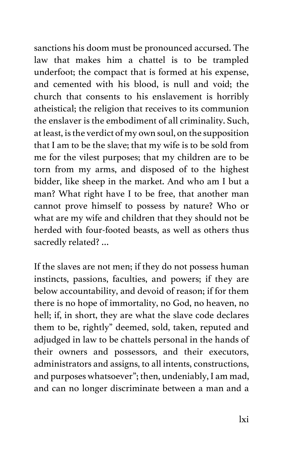sanctions his doom must be pronounced accursed. The law that makes him a chattel is to be trampled underfoot; the compact that is formed at his expense, and cemented with his blood, is null and void; the church that consents to his enslavement is horribly atheistical; the religion that receives to its communion the enslaver is the embodiment of all criminality. Such, at least, is the verdict of my own soul, on the supposition that I am to be the slave; that my wife is to be sold from me for the vilest purposes; that my children are to be torn from my arms, and disposed of to the highest bidder, like sheep in the market. And who am I but a man? What right have I to be free, that another man cannot prove himself to possess by nature? Who or what are my wife and children that they should not be herded with four-footed beasts, as well as others thus sacredly related? …

If the slaves are not men; if they do not possess human instincts, passions, faculties, and powers; if they are below accountability, and devoid of reason; if for them there is no hope of immortality, no God, no heaven, no hell; if, in short, they are what the slave code declares them to be, rightly" deemed, sold, taken, reputed and adjudged in law to be chattels personal in the hands of their owners and possessors, and their executors, administrators and assigns, to all intents, constructions, and purposes whatsoever"; then, undeniably, I am mad, and can no longer discriminate between a man and a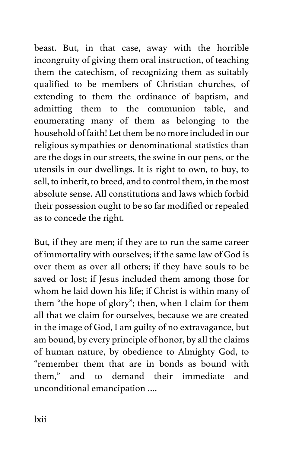beast. But, in that case, away with the horrible incongruity of giving them oral instruction, of teaching them the catechism, of recognizing them as suitably qualified to be members of Christian churches, of extending to them the ordinance of baptism, and admitting them to the communion table, and enumerating many of them as belonging to the household of faith! Let them be no more included in our religious sympathies or denominational statistics than are the dogs in our streets, the swine in our pens, or the utensils in our dwellings. It is right to own, to buy, to sell, to inherit, to breed, and to control them, in the most absolute sense. All constitutions and laws which forbid their possession ought to be so far modified or repealed as to concede the right.

But, if they are men; if they are to run the same career of immortality with ourselves; if the same law of God is over them as over all others; if they have souls to be saved or lost; if Jesus included them among those for whom he laid down his life; if Christ is within many of them "the hope of glory"; then, when I claim for them all that we claim for ourselves, because we are created in the image of God, I am guilty of no extravagance, but am bound, by every principle of honor, by all the claims of human nature, by obedience to Almighty God, to "remember them that are in bonds as bound with them," and to demand their immediate and unconditional emancipation ….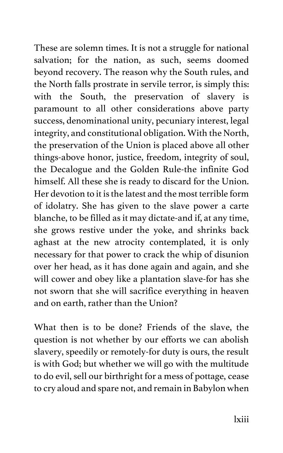These are solemn times. It is not a struggle for national salvation; for the nation, as such, seems doomed beyond recovery. The reason why the South rules, and the North falls prostrate in servile terror, is simply this: with the South, the preservation of slavery is paramount to all other considerations above party success, denominational unity, pecuniary interest, legal integrity, and constitutional obligation. With the North, the preservation of the Union is placed above all other things-above honor, justice, freedom, integrity of soul, the Decalogue and the Golden Rule-the infinite God himself. All these she is ready to discard for the Union. Her devotion to it is the latest and the most terrible form of idolatry. She has given to the slave power a carte blanche, to be filled as it may dictate-and if, at any time, she grows restive under the yoke, and shrinks back aghast at the new atrocity contemplated, it is only necessary for that power to crack the whip of disunion over her head, as it has done again and again, and she will cower and obey like a plantation slave-for has she not sworn that she will sacrifice everything in heaven and on earth, rather than the Union?

What then is to be done? Friends of the slave, the question is not whether by our efforts we can abolish slavery, speedily or remotely-for duty is ours, the result is with God; but whether we will go with the multitude to do evil, sell our birthright for a mess of pottage, cease to cry aloud and spare not, and remain in Babylon when